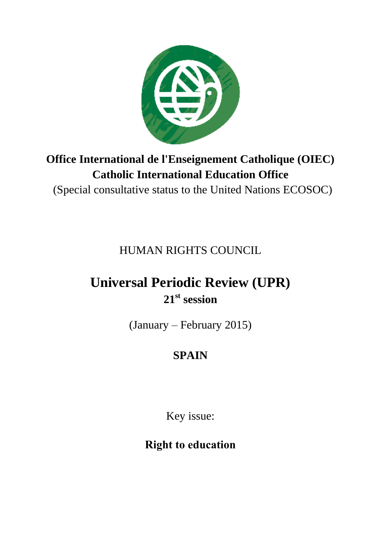

## **Office International de l'Enseignement Catholique (OIEC) Catholic International Education Office**

(Special consultative status to the United Nations ECOSOC)

HUMAN RIGHTS COUNCIL

# **Universal Periodic Review (UPR) 21st session**

(January – February 2015)

## **SPAIN**

Key issue:

**Right to education**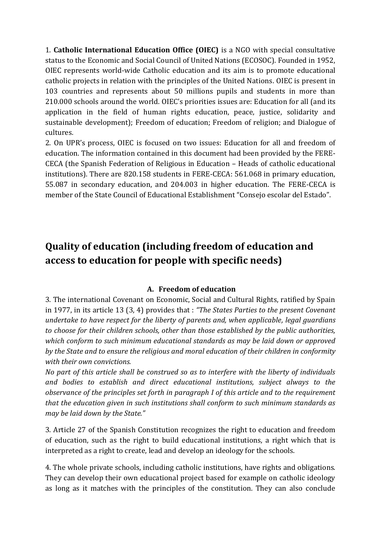1. **Catholic International Education Office (OIEC)** is a NGO with special consultative status to the Economic and Social Council of United Nations (ECOSOC). Founded in 1952, OIEC represents world-wide Catholic education and its aim is to promote educational catholic projects in relation with the principles of the United Nations. OIEC is present in 103 countries and represents about 50 millions pupils and students in more than 210.000 schools around the world. OIEC's priorities issues are: Education for all (and its application in the field of human rights education, peace, justice, solidarity and sustainable development); Freedom of education; Freedom of religion; and Dialogue of cultures.

2. On UPR's process, OIEC is focused on two issues: Education for all and freedom of education. The information contained in this document had been provided by the FERE-CECA (the Spanish Federation of Religious in Education – Heads of catholic educational institutions). There are 820.158 students in FERE-CECA: 561.068 in primary education, 55.087 in secondary education, and 204.003 in higher education. The FERE-CECA is member of the State Council of Educational Establishment "Consejo escolar del Estado".

### **Quality of education (including freedom of education and access to education for people with specific needs)**

#### **A. Freedom of education**

3. The international Covenant on Economic, Social and Cultural Rights, ratified by Spain in 1977, in its article 13 (3, 4) provides that : *"The States Parties to the present Covenant undertake to have respect for the liberty of parents and, when applicable, legal guardians to choose for their children schools, other than those established by the public authorities, which conform to such minimum educational standards as may be laid down or approved by the State and to ensure the religious and moral education of their children in conformity with their own convictions.*

*No part of this article shall be construed so as to interfere with the liberty of individuals and bodies to establish and direct educational institutions, subject always to the observance of the principles set forth in paragraph I of this article and to the requirement that the education given in such institutions shall conform to such minimum standards as may be laid down by the State."*

3. Article 27 of the Spanish Constitution recognizes the right to education and freedom of education, such as the right to build educational institutions, a right which that is interpreted as a right to create, lead and develop an ideology for the schools.

4. The whole private schools, including catholic institutions, have rights and obligations. They can develop their own educational project based for example on catholic ideology as long as it matches with the principles of the constitution. They can also conclude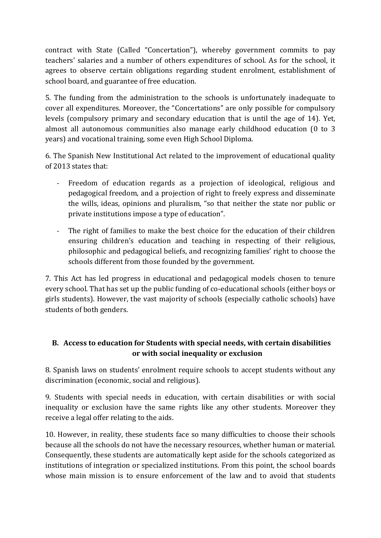contract with State (Called "Concertation"), whereby government commits to pay teachers' salaries and a number of others expenditures of school. As for the school, it agrees to observe certain obligations regarding student enrolment, establishment of school board, and guarantee of free education.

5. The funding from the administration to the schools is unfortunately inadequate to cover all expenditures. Moreover, the "Concertations" are only possible for compulsory levels (compulsory primary and secondary education that is until the age of 14). Yet, almost all autonomous communities also manage early childhood education (0 to 3 years) and vocational training, some even High School Diploma.

6. The Spanish New Institutional Act related to the improvement of educational quality of 2013 states that:

- Freedom of education regards as a projection of ideological, religious and pedagogical freedom, and a projection of right to freely express and disseminate the wills, ideas, opinions and pluralism, "so that neither the state nor public or private institutions impose a type of education".
- The right of families to make the best choice for the education of their children ensuring children's education and teaching in respecting of their religious, philosophic and pedagogical beliefs, and recognizing families' right to choose the schools different from those founded by the government.

7. This Act has led progress in educational and pedagogical models chosen to tenure every school. That has set up the public funding of co-educational schools (either boys or girls students). However, the vast majority of schools (especially catholic schools) have students of both genders.

#### **B. Access to education for Students with special needs, with certain disabilities or with social inequality or exclusion**

8. Spanish laws on students' enrolment require schools to accept students without any discrimination (economic, social and religious).

9. Students with special needs in education, with certain disabilities or with social inequality or exclusion have the same rights like any other students. Moreover they receive a legal offer relating to the aids.

10. However, in reality, these students face so many difficulties to choose their schools because all the schools do not have the necessary resources, whether human or material. Consequently, these students are automatically kept aside for the schools categorized as institutions of integration or specialized institutions. From this point, the school boards whose main mission is to ensure enforcement of the law and to avoid that students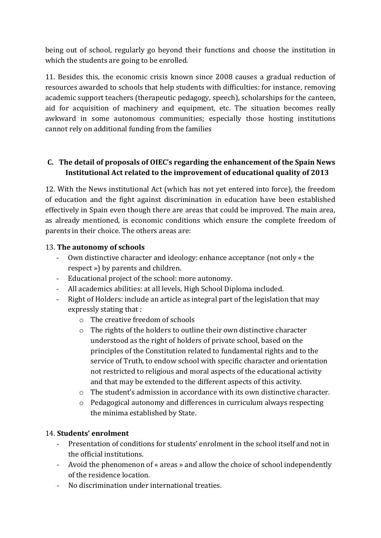being out of school, regularly go beyond their functions and choose the institution in which the students are going to be enrolled.

11. Besides this, the economic crisis known since 2008 causes a gradual reduction of resources awarded to schools that help students with difficulties: for instance, removing academic support teachers (therapeutic pedagogy, speech), scholarships for the canteen, aid for acquisition of machinery and equipment, etc. The situation becomes really awkward in some autonomous communities; especially those hosting institutions cannot rely on additional funding from the families

#### **C. The detail of proposals of OIEC's regarding the enhancement of the Spain News Institutional Act related to the improvement of educational quality of 2013**

12. With the News institutional Act (which has not yet entered into force), the freedom of education and the fight against discrimination in education have been established effectively in Spain even though there are areas that could be improved. The main area, as already mentioned, is economic conditions which ensure the complete freedom of parents in their choice. The others areas are:

#### 13. **The autonomy of schools**

- Own distinctive character and ideology: enhance acceptance (not only « the respect ») by parents and children.
- Educational project of the school: more autonomy.
- All academics abilities: at all levels, High School Diploma included.
- Right of Holders: include an article as integral part of the legislation that may expressly stating that :
	- o The creative freedom of schools
	- o The rights of the holders to outline their own distinctive character understood as the right of holders of private school, based on the principles of the Constitution related to fundamental rights and to the service of Truth, to endow school with specific character and orientation not restricted to religious and moral aspects of the educational activity and that may be extended to the different aspects of this activity.
	- $\circ$  The student's admission in accordance with its own distinctive character.
	- o Pedagogical autonomy and differences in curriculum always respecting the minima established by State.

#### 14. **Students' enrolment**

- Presentation of conditions for students' enrolment in the school itself and not in the official institutions.
- Avoid the phenomenon of « areas » and allow the choice of school independently of the residence location.
- No discrimination under international treaties.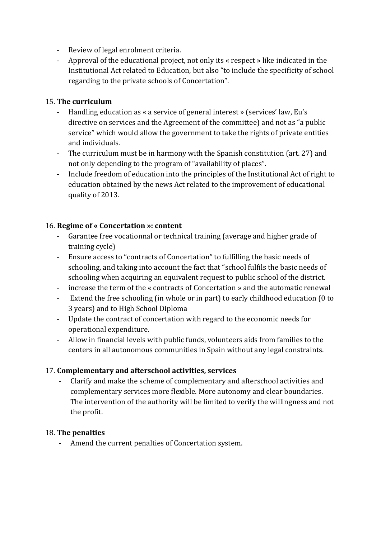- Review of legal enrolment criteria.
- Approval of the educational project, not only its « respect » like indicated in the Institutional Act related to Education, but also "to include the specificity of school regarding to the private schools of Concertation".

#### 15. **The curriculum**

- Handling education as « a service of general interest » (services' law, Eu's directive on services and the Agreement of the committee) and not as "a public service" which would allow the government to take the rights of private entities and individuals.
- The curriculum must be in harmony with the Spanish constitution (art. 27) and not only depending to the program of "availability of places".
- Include freedom of education into the principles of the Institutional Act of right to education obtained by the news Act related to the improvement of educational quality of 2013.

#### 16. **Regime of « Concertation »: content**

- Garantee free vocationnal or technical training (average and higher grade of training cycle)
- Ensure access to "contracts of Concertation" to fulfilling the basic needs of schooling, and taking into account the fact that "school fulfils the basic needs of schooling when acquiring an equivalent request to public school of the district.
- increase the term of the « contracts of Concertation » and the automatic renewal
- Extend the free schooling (in whole or in part) to early childhood education (0 to 3 years) and to High School Diploma
- Update the contract of concertation with regard to the economic needs for operational expenditure.
- Allow in financial levels with public funds, volunteers aids from families to the centers in all autonomous communities in Spain without any legal constraints.

#### 17. **Complementary and afterschool activities, services**

- Clarify and make the scheme of complementary and afterschool activities and complementary services more flexible. More autonomy and clear boundaries. The intervention of the authority will be limited to verify the willingness and not the profit.

#### 18. **The penalties**

Amend the current penalties of Concertation system.